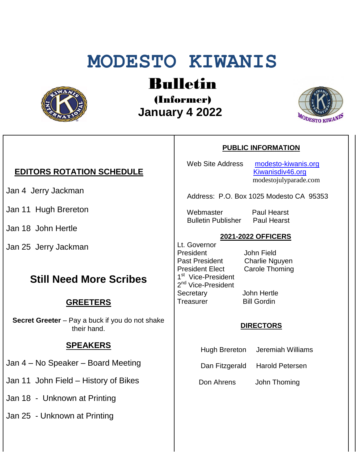# **MODESTO KIWANIS**



## Bulletin

(Informer)  **January 4 2022**



#### **EDITORS ROTATION SCHEDULE**

Jan 4 Jerry Jackman

Jan 11 Hugh Brereton

Jan 18 John Hertle

Jan 25 Jerry Jackman

### **Still Need More Scribes**

#### **GREETERS**

**Secret Greeter** – Pay a buck if you do not shake their hand.

#### **SPEAKERS**

Jan 4 – No Speaker – Board Meeting

Jan 11 John Field – History of Bikes

Jan 18 - Unknown at Printing

Jan 25 - Unknown at Printing

#### **PUBLIC INFORMATION**

Web Site Address [modesto-kiwanis.org](http://modesto-kiwanis.org/) [Kiwanisdiv46.org](http://www.kiwanisdiv46.org/) modestojulyparade.com

Address: P.O. Box 1025 Modesto CA 95353

Webmaster Paul Hearst Bulletin Publisher Paul Hearst

#### **2021-2022 OFFICERS**

Lt. Governor President John Field Past President Charlie Nguyen President Elect Carole Thoming 1<sup>st</sup> Vice-President 2<sup>nd</sup> Vice-President Secretary John Hertle Treasurer Bill Gordin

#### **DIRECTORS**

Hugh Brereton Jeremiah Williams

Dan Fitzgerald Harold Petersen

Don Ahrens John Thoming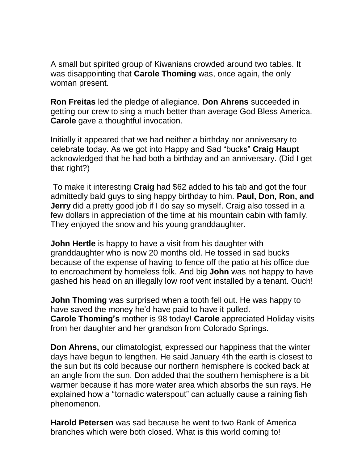A small but spirited group of Kiwanians crowded around two tables. It was disappointing that **Carole Thoming** was, once again, the only woman present.

**Ron Freitas** led the pledge of allegiance. **Don Ahrens** succeeded in getting our crew to sing a much better than average God Bless America. **Carole** gave a thoughtful invocation.

Initially it appeared that we had neither a birthday nor anniversary to celebrate today. As we got into Happy and Sad "bucks" **Craig Haupt**  acknowledged that he had both a birthday and an anniversary. (Did I get that right?)

To make it interesting **Craig** had \$62 added to his tab and got the four admittedly bald guys to sing happy birthday to him. **Paul, Don, Ron, and Jerry** did a pretty good job if I do say so myself. Craig also tossed in a few dollars in appreciation of the time at his mountain cabin with family. They enjoyed the snow and his young granddaughter.

**John Hertle** is happy to have a visit from his daughter with granddaughter who is now 20 months old. He tossed in sad bucks because of the expense of having to fence off the patio at his office due to encroachment by homeless folk. And big **John** was not happy to have gashed his head on an illegally low roof vent installed by a tenant. Ouch!

**John Thoming** was surprised when a tooth fell out. He was happy to have saved the money he'd have paid to have it pulled. **Carole Thoming's** mother is 98 today! **Carole** appreciated Holiday visits from her daughter and her grandson from Colorado Springs.

**Don Ahrens,** our climatologist, expressed our happiness that the winter days have begun to lengthen. He said January 4th the earth is closest to the sun but its cold because our northern hemisphere is cocked back at an angle from the sun. Don added that the southern hemisphere is a bit warmer because it has more water area which absorbs the sun rays. He explained how a "tornadic waterspout" can actually cause a raining fish phenomenon.

**Harold Petersen** was sad because he went to two Bank of America branches which were both closed. What is this world coming to!